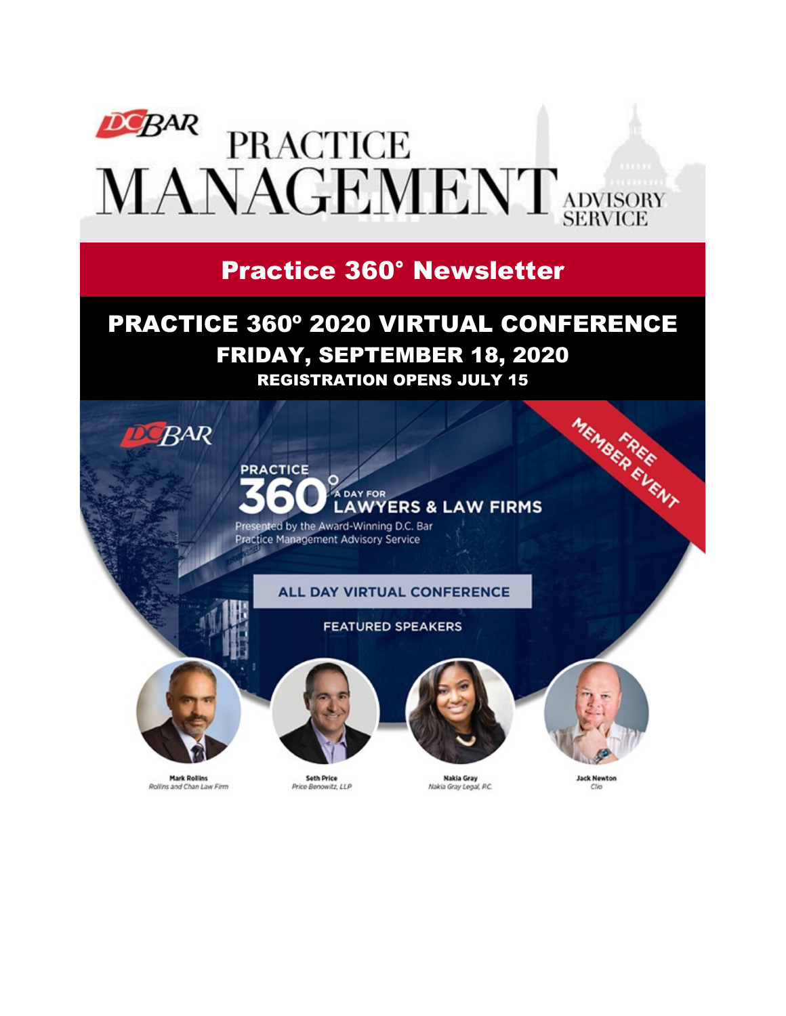

## Practice 360° Newsletter

## PRACTICE 360º 2020 VIRTUAL CONFERENCE FRIDAY, SEPTEMBER 18, 2020 REGISTRATION OPENS JULY 15



**Mark Rollins** Rollins and Chan Law Firm

**Seth Price** Price Benowitz, LLP

**Nakia Gray** Nakia Gray Legal, P.C. Clio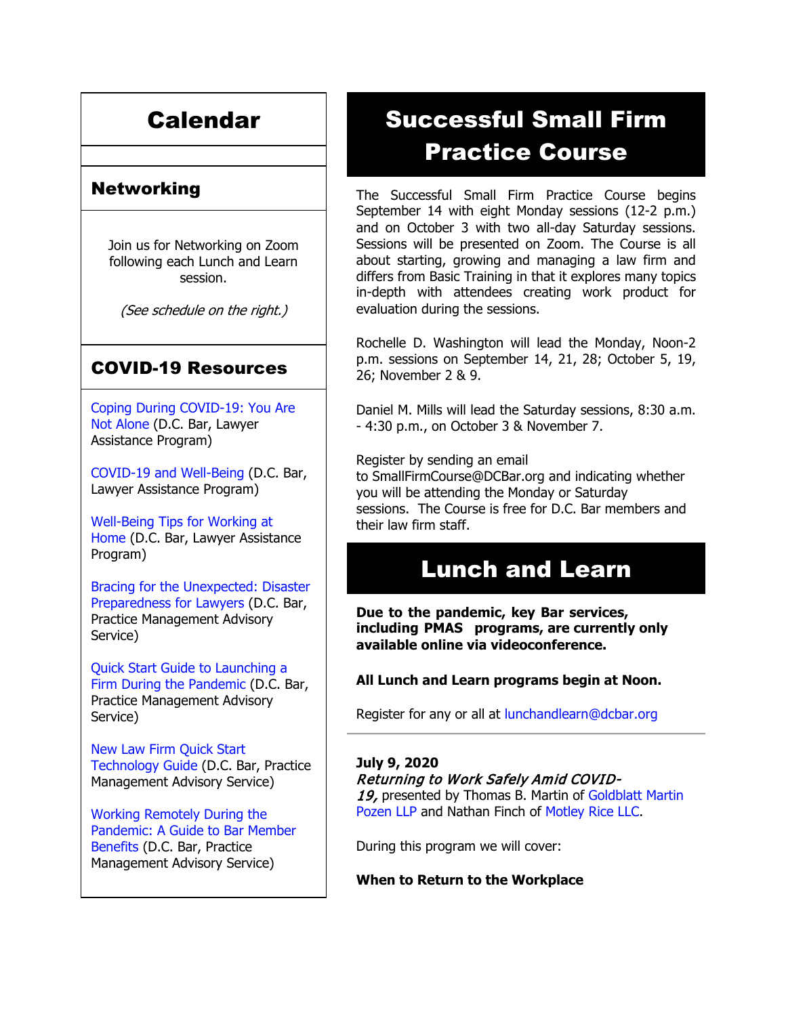# Calendar

### Networking

Join us for Networking on Zoom following each Lunch and Learn session.

(See schedule on the right.)

### COVID-19 Resources

[Coping During COVID-19: You Are](https://www.dcbar.org/about-the-bar/news/coping-during-covid-19-you-are-not-alone.cfm?utm_source=Real%20Magnet&utm_medium=INSERT_CHANNEL&utm_campaign=INSERT_LINK_ID)  [Not Alone](https://www.dcbar.org/about-the-bar/news/coping-during-covid-19-you-are-not-alone.cfm?utm_source=Real%20Magnet&utm_medium=INSERT_CHANNEL&utm_campaign=INSERT_LINK_ID) (D.C. Bar, Lawyer Assistance Program)

[COVID-19 and Well-Being](https://www.dcbar.org/bar-resources/lawyer-assistance-program/upload/COVID-19-and-Well-Being-Resources.pdf?utm_source=Real%20Magnet&utm_medium=INSERT_CHANNEL&utm_campaign=INSERT_LINK_ID) (D.C. Bar, Lawyer Assistance Program)

[Well-Being Tips for Working at](https://www.dcbar.org/bar-resources/lawyer-assistance-program/upload/WellnessTips-Working-from-home.pdf?utm_source=Real%20Magnet&utm_medium=INSERT_CHANNEL&utm_campaign=INSERT_LINK_ID)  [Home](https://www.dcbar.org/bar-resources/lawyer-assistance-program/upload/WellnessTips-Working-from-home.pdf?utm_source=Real%20Magnet&utm_medium=INSERT_CHANNEL&utm_campaign=INSERT_LINK_ID) (D.C. Bar, Lawyer Assistance Program)

[Bracing for the Unexpected: Disaster](https://www.dcbar.org/about-the-bar/news/disaster-preparedness-for-lawyers.cfm?utm_source=Real%20Magnet&utm_medium=INSERT_CHANNEL&utm_campaign=INSERT_LINK_ID)  [Preparedness for Lawyers](https://www.dcbar.org/about-the-bar/news/disaster-preparedness-for-lawyers.cfm?utm_source=Real%20Magnet&utm_medium=INSERT_CHANNEL&utm_campaign=INSERT_LINK_ID) (D.C. Bar, Practice Management Advisory Service)

[Quick Start Guide to Launching a](https://www.dcbar.org/bar-resources/practice-management-advisory-service/upload/Career-disruption-setting-up-a-law-firm-quickly-resources-042020.pdf?utm_source=Real%20Magnet&utm_medium=INSERT_CHANNEL&utm_campaign=INSERT_LINK_ID)  [Firm During the Pandemic](https://www.dcbar.org/bar-resources/practice-management-advisory-service/upload/Career-disruption-setting-up-a-law-firm-quickly-resources-042020.pdf?utm_source=Real%20Magnet&utm_medium=INSERT_CHANNEL&utm_campaign=INSERT_LINK_ID) (D.C. Bar, Practice Management Advisory Service)

[New Law Firm Quick Start](https://www.dcbar.org/bar-resources/practice-management-advisory-service/upload/Quick-start-Tech-Guide-final.pdf?utm_source=Real%20Magnet&utm_medium=INSERT_CHANNEL&utm_campaign=INSERT_LINK_ID)  [Technology Guide](https://www.dcbar.org/bar-resources/practice-management-advisory-service/upload/Quick-start-Tech-Guide-final.pdf?utm_source=Real%20Magnet&utm_medium=INSERT_CHANNEL&utm_campaign=INSERT_LINK_ID) (D.C. Bar, Practice Management Advisory Service)

[Working Remotely During the](https://www.dcbar.org/about-the-bar/news/working-remotely-during-the-pandemic.cfm?utm_source=Real%20Magnet&utm_medium=INSERT_CHANNEL&utm_campaign=INSERT_LINK_ID)  [Pandemic: A Guide to Bar Member](https://www.dcbar.org/about-the-bar/news/working-remotely-during-the-pandemic.cfm?utm_source=Real%20Magnet&utm_medium=INSERT_CHANNEL&utm_campaign=INSERT_LINK_ID)  [Benefits](https://www.dcbar.org/about-the-bar/news/working-remotely-during-the-pandemic.cfm?utm_source=Real%20Magnet&utm_medium=INSERT_CHANNEL&utm_campaign=INSERT_LINK_ID) (D.C. Bar, Practice Management Advisory Service)

# Successful Small Firm Practice Course

The Successful Small Firm Practice Course begins September 14 with eight Monday sessions (12-2 p.m.) and on October 3 with two all-day Saturday sessions. Sessions will be presented on Zoom. The Course is all about starting, growing and managing a law firm and differs from Basic Training in that it explores many topics in-depth with attendees creating work product for evaluation during the sessions.

Rochelle D. Washington will lead the Monday, Noon-2 p.m. sessions on September 14, 21, 28; October 5, 19, 26; November 2 & 9.

Daniel M. Mills will lead the Saturday sessions, 8:30 a.m. - 4:30 p.m., on October 3 & November 7.

Register by sending an email to [SmallFirmCourse@DCBar.org](mailto:SmallFirmCourse@DCBar.org) and indicating whether you will be attending the Monday or Saturday sessions. The Course is free for D.C. Bar members and their law firm staff.

## Lunch and Learn

**Due to the pandemic, key Bar services, including PMAS programs, are currently only available online via videoconference.**

#### **All Lunch and Learn programs begin at Noon.**

Register for any or all at [lunchandlearn@dcbar.org](mailto:lunchandlearn@dcbar.org?subject=Lunch%20and%20Learn)

#### **July 9, 2020**

Returning to Work Safely Amid COVID-

19, presented by Thomas B. Martin of Goldblatt Martin [Pozen LLP](https://gmpllp.com/) and Nathan Finch of [Motley Rice LLC.](https://www.motleyrice.com/)

During this program we will cover:

**When to Return to the Workplace**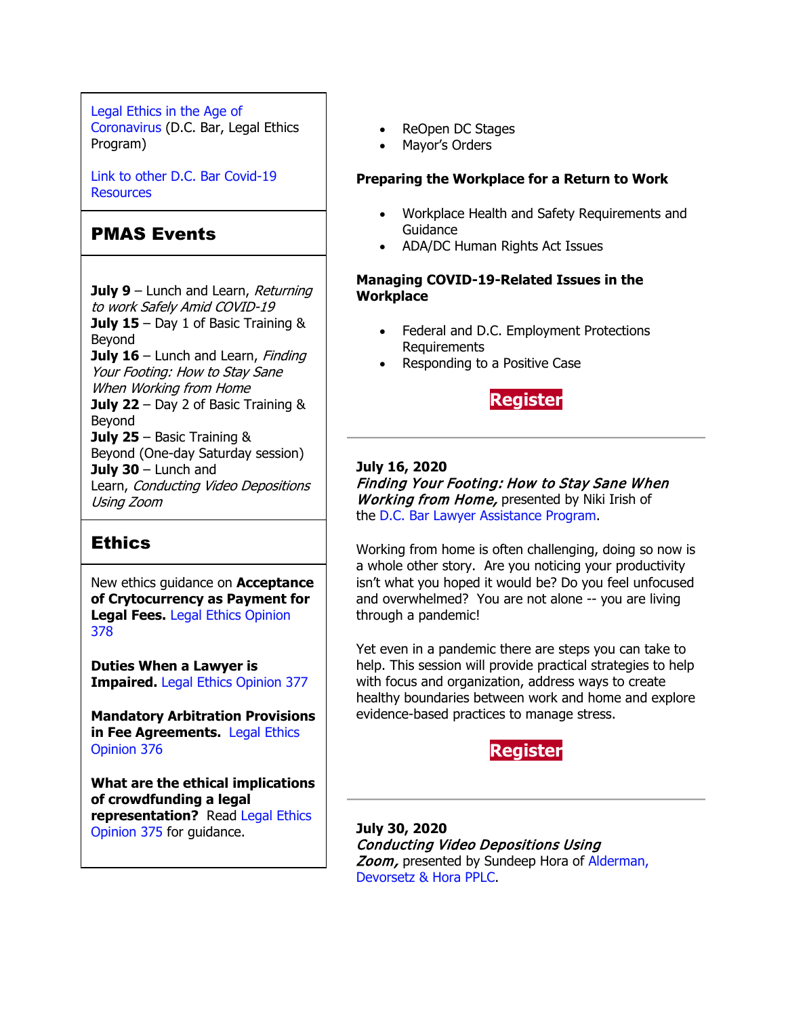[Legal Ethics in the Age of](https://www.dcbar.org/about-the-bar/news/Legal-Ethics-in-the-Age-of-the-Coronavirus.cfm?utm_source=Real%20Magnet&utm_medium=INSERT_CHANNEL&utm_campaign=INSERT_LINK_ID)  [Coronavirus](https://www.dcbar.org/about-the-bar/news/Legal-Ethics-in-the-Age-of-the-Coronavirus.cfm?utm_source=Real%20Magnet&utm_medium=INSERT_CHANNEL&utm_campaign=INSERT_LINK_ID) (D.C. Bar, Legal Ethics Program)

[Link to other D.C. Bar Covid-19](https://www.dcbar.org/bar-resources/COVID-19-Resources.cfm?utm_source=Real%20Magnet&utm_medium=INSERT_CHANNEL&utm_campaign=INSERT_LINK_ID)  [Resources](https://www.dcbar.org/bar-resources/COVID-19-Resources.cfm?utm_source=Real%20Magnet&utm_medium=INSERT_CHANNEL&utm_campaign=INSERT_LINK_ID)

### PMAS Events

**July 9** – Lunch and Learn, Returning to work Safely Amid COVID-19 **July 15** – Day 1 of Basic Training & Beyond **July 16** – Lunch and Learn, Finding Your Footing: How to Stay Sane When Working from Home **July 22** – Day 2 of Basic Training & Beyond **July 25** – Basic Training & Beyond (One-day Saturday session) **July 30** – Lunch and Learn, Conducting Video Depositions Using Zoom

### **Ethics**

New ethics guidance on **Acceptance of Crytocurrency as Payment for Legal Fees.** [Legal Ethics Opinion](https://www.dcbar.org/bar-resources/legal-ethics/opinions/Ethics-Opinion-378.cfm?utm_source=Real%20Magnet&utm_medium=INSERT_CHANNEL&utm_campaign=INSERT_LINK_ID)  [378](https://www.dcbar.org/bar-resources/legal-ethics/opinions/Ethics-Opinion-378.cfm?utm_source=Real%20Magnet&utm_medium=INSERT_CHANNEL&utm_campaign=INSERT_LINK_ID)

**Duties When a Lawyer is Impaired.** [Legal Ethics Opinion 377](https://www.dcbar.org/bar-resources/legal-ethics/opinions/Ethics-Opinion-377.cfm?utm_source=Real%20Magnet&utm_medium=INSERT_CHANNEL&utm_campaign=INSERT_LINK_ID)

**Mandatory Arbitration Provisions in Fee Agreements.** [Legal Ethics](https://www.dcbar.org/bar-resources/legal-ethics/opinions/Ethics-Opinion-376.cfm?utm_source=Real%20Magnet&utm_medium=INSERT_CHANNEL&utm_campaign=INSERT_LINK_ID)  [Opinion 376](https://www.dcbar.org/bar-resources/legal-ethics/opinions/Ethics-Opinion-376.cfm?utm_source=Real%20Magnet&utm_medium=INSERT_CHANNEL&utm_campaign=INSERT_LINK_ID)

**What are the ethical implications of crowdfunding a legal representation?** Read [Legal Ethics](http://www.dcbar.org/bar-resources/legal-ethics/opinions/Ethics-Opinion-375.cfm?utm_source=Real%20Magnet&utm_medium=INSERT_CHANNEL&utm_campaign=INSERT_LINK_ID)  [Opinion 375](http://www.dcbar.org/bar-resources/legal-ethics/opinions/Ethics-Opinion-375.cfm?utm_source=Real%20Magnet&utm_medium=INSERT_CHANNEL&utm_campaign=INSERT_LINK_ID) for guidance.

- ReOpen DC Stages
- Mayor's Orders

#### **Preparing the Workplace for a Return to Work**

- Workplace Health and Safety Requirements and Guidance
- ADA/DC Human Rights Act Issues

#### **Managing COVID-19-Related Issues in the Workplace**

- Federal and D.C. Employment Protections Requirements
- Responding to a Positive Case



#### **July 16, 2020**

Finding Your Footing: How to Stay Sane When **Working from Home, presented by Niki Irish of** the [D.C. Bar Lawyer Assistance Program.](https://www.dcbar.org/bar-resources/lawyer-assistance-program/?utm_source=Real%20Magnet&utm_medium=INSERT_CHANNEL&utm_campaign=INSERT_LINK_ID)

Working from home is often challenging, doing so now is a whole other story. Are you noticing your productivity isn't what you hoped it would be? Do you feel unfocused and overwhelmed? You are not alone -- you are living through a pandemic!

Yet even in a pandemic there are steps you can take to help. This session will provide practical strategies to help with focus and organization, address ways to create healthy boundaries between work and home and explore evidence-based practices to manage stress.

### **[Register](https://join.dcbar.org/eWeb/DynamicPage.aspx?site=dcbar&webcode=EventInfo&Reg_evt_key=b5f50fa8-92f4-4530-975a-0251d26d24c9&RegPath=EventRegFees&FreeEvent=&Event=Lunch%20and%20Learn:%20Finding%20Your%20Footing:%20How%20to%20Stay%20Sane%20When%20Working%20from%20Home%20(Online%20Only)&FundraisingEvent=&evt_guest_limit=9999&utm_source=Real%20Magnet&utm_medium=INSERT_CHANNEL&utm_campaign=INSERT_LINK_ID)**

**July 30, 2020** Conducting Video Depositions Using Zoom, presented by Sundeep Hora of Alderman, [Devorsetz & Hora PPLC.](https://www.adhlawfirm.com/)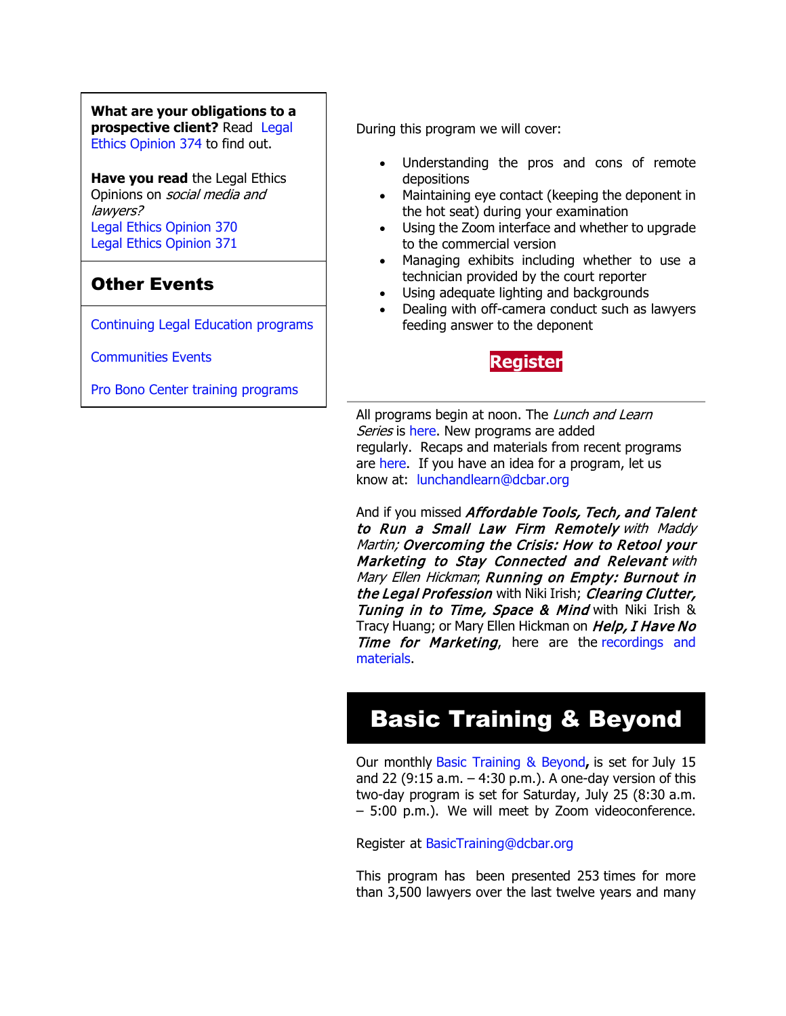**What are your obligations to a prospective client?** Read [Legal](http://www.dcbar.org/bar-resources/legal-ethics/opinions/Ethics-Opinion-374.cfm?utm_source=Real%20Magnet&utm_medium=INSERT_CHANNEL&utm_campaign=INSERT_LINK_ID)  [Ethics Opinion 374](http://www.dcbar.org/bar-resources/legal-ethics/opinions/Ethics-Opinion-374.cfm?utm_source=Real%20Magnet&utm_medium=INSERT_CHANNEL&utm_campaign=INSERT_LINK_ID) to find out.

**Have you read** the Legal Ethics Opinions on social media and lawyers? [Legal Ethics Opinion](http://www.dcbar.org/bar-resources/legal-ethics/opinions/Ethics-Opinion-370.cfm?utm_source=Real%20Magnet&utm_medium=INSERT_CHANNEL&utm_campaign=INSERT_LINK_ID) 370 [Legal Ethics Opinion](http://www.dcbar.org/bar-resources/legal-ethics/opinions/Ethics-Opinion-371.cfm?utm_source=Real%20Magnet&utm_medium=INSERT_CHANNEL&utm_campaign=INSERT_LINK_ID) 371

## Other Events

[Continuing Legal Education programs](https://join.dcbar.org/eweb/DynamicPage.aspx?Site=DCBar&WebKey=cbe606bc-88d4-4d37-872c-f48d412a59e5&evt_etc_key=7aaf572d-f662-422f-9fe7-0ae3f4b705be&utm_source=Real%20Magnet&utm_medium=INSERT_CHANNEL&utm_campaign=INSERT_LINK_ID)

[Communities Events](https://join.dcbar.org/eweb/DynamicPage.aspx?site=dcbar&webcode=EventList&utm_source=Real%20Magnet&utm_medium=INSERT_CHANNEL&utm_campaign=INSERT_LINK_ID)

[Pro Bono Center training programs](http://www.dcbar.org/pro-bono/resources-and-training/pro-bono-training.cfm?utm_source=Real%20Magnet&utm_medium=INSERT_CHANNEL&utm_campaign=INSERT_LINK_ID)

During this program we will cover:

- Understanding the pros and cons of remote depositions
- Maintaining eye contact (keeping the deponent in the hot seat) during your examination
- Using the Zoom interface and whether to upgrade to the commercial version
- Managing exhibits including whether to use a technician provided by the court reporter
- Using adequate lighting and backgrounds
- Dealing with off-camera conduct such as lawyers feeding answer to the deponent



All programs begin at noon. The Lunch and Learn Series is [here.](http://www.mmsend31.com/link.cfm?r=zvkjaWqFFUTRz65Avl-Ftw%7E%7E&pe=uj3OQce67sAzal0I0cWC7TjhNwePVYVKzJMg2Js6AIsGNMVqBKo6FlxU1r4B9xoXUOyVF9B6Sl75zAYfEz30Xg%7E%7E&t=9q0Bx7QlIBCo1RGNX5Mg8A%7E%7E) New programs are added regularly. Recaps and materials from recent programs are [here.](https://www.dcbar.org/bar-resources/practice-management-advisory-service/lunch-series-past.cfm?utm_source=Real%20Magnet&utm_medium=INSERT_CHANNEL&utm_campaign=INSERT_LINK_ID) If you have an idea for a program, let us know at: [lunchandlearn@dcbar.org](mailto:lunchandlearn@dcbar.org)

And if you missed Affordable Tools, Tech, and Talent to Run a Small Law Firm Remotely with Maddy Martin; Overcoming the Crisis: How to Retool your Marketing to Stay Connected and Relevant with Mary Ellen Hickman; Running on Empty: Burnout in the Legal Profession with Niki Irish; Clearing Clutter, Tuning in to Time, Space & Mind with Niki Irish & Tracy Huang; or Mary Ellen Hickman on Help, I Have No Time for Marketing, here are the recordings and [materials.](http://www.mmsend31.com/link.cfm?r=zvkjaWqFFUTRz65Avl-Ftw%7E%7E&pe=4mmxqJOvTKC2xyXj-atTVcA70zCTGMMU-jeeiyE3_LcUP1jcscAFhZabfUl8Xy4IIeUfSvOSbZDXV2AP0w6XEA%7E%7E&t=9q0Bx7QlIBCo1RGNX5Mg8A%7E%7E)

# Basic Training & Beyond

Our monthly [Basic Training & Beyond](http://www.dcbar.org/bar-resources/practice-management-advisory-service/basic-training.cfm?utm_source=Real%20Magnet&utm_medium=INSERT_CHANNEL&utm_campaign=INSERT_LINK_ID)**,** is set for July 15 and 22 (9:15 a.m.  $-4:30$  p.m.). A one-day version of this two-day program is set for Saturday, July 25 (8:30 a.m. – 5:00 p.m.). We will meet by Zoom videoconference.

Register at BasicTraining@dc[bar.org](mailto:BasicTraining@dcbar.org?subject=Basic%20Training%20%26%20Beyond)

This program has been presented 253 times for more than 3,500 lawyers over the last twelve years and many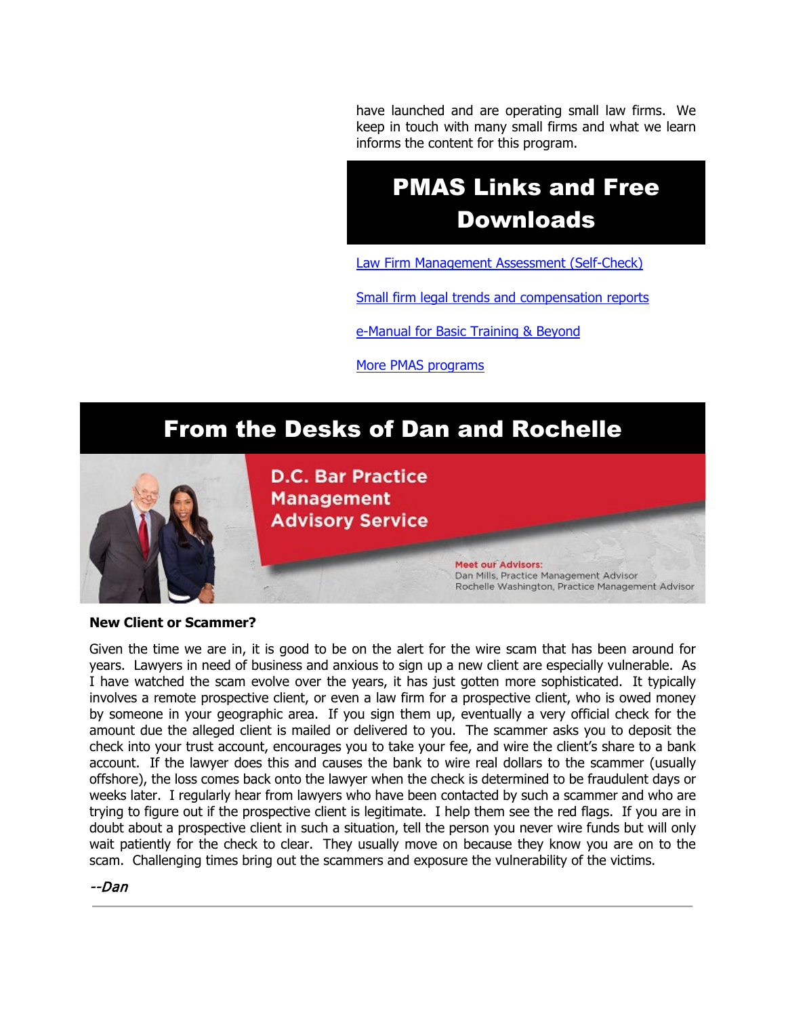have launched and are operating small law firms. We keep in touch with many small firms and what we learn informs the content for this program.

# PMAS Links and Free Downloads

[Law Firm Management Assessment \(Self-Check\)](https://www.dcbar.org/bar-resources/practice-management-advisory-service/selfcheck.cfm?utm_source=Real%20Magnet&utm_medium=INSERT_CHANNEL&utm_campaign=INSERT_LINK_ID)

[Small firm legal trends and compensation reports](http://www.dcbar.org/bar-resources/practice-management-advisory-service/basic-training-supplement.cfm?utm_source=Real%20Magnet&utm_medium=INSERT_CHANNEL&utm_campaign=INSERT_LINK_ID)

[e-Manual for Basic Training & Beyond](http://www.dcbar.org/bar-resources/practice-management-advisory-service/upload/eManual-050316.pdf?utm_source=Real%20Magnet&utm_medium=INSERT_CHANNEL&utm_campaign=INSERT_LINK_ID)

[More PMAS programs](http://www.dcbar.org/bar-resources/practice-management-advisory-service/?utm_source=Real%20Magnet&utm_medium=INSERT_CHANNEL&utm_campaign=INSERT_LINK_ID)

## From the Desks of Dan and Rochelle



**D.C. Bar Practice Management Advisory Service** 

> **Meet our Advisors:** Dan Mills, Practice Management Advisor Rochelle Washington, Practice Management Advisor

#### **New Client or Scammer?**

Given the time we are in, it is good to be on the alert for the wire scam that has been around for years. Lawyers in need of business and anxious to sign up a new client are especially vulnerable. As I have watched the scam evolve over the years, it has just gotten more sophisticated. It typically involves a remote prospective client, or even a law firm for a prospective client, who is owed money by someone in your geographic area. If you sign them up, eventually a very official check for the amount due the alleged client is mailed or delivered to you. The scammer asks you to deposit the check into your trust account, encourages you to take your fee, and wire the client's share to a bank account. If the lawyer does this and causes the bank to wire real dollars to the scammer (usually offshore), the loss comes back onto the lawyer when the check is determined to be fraudulent days or weeks later. I regularly hear from lawyers who have been contacted by such a scammer and who are trying to figure out if the prospective client is legitimate. I help them see the red flags. If you are in doubt about a prospective client in such a situation, tell the person you never wire funds but will only wait patiently for the check to clear. They usually move on because they know you are on to the scam. Challenging times bring out the scammers and exposure the vulnerability of the victims.